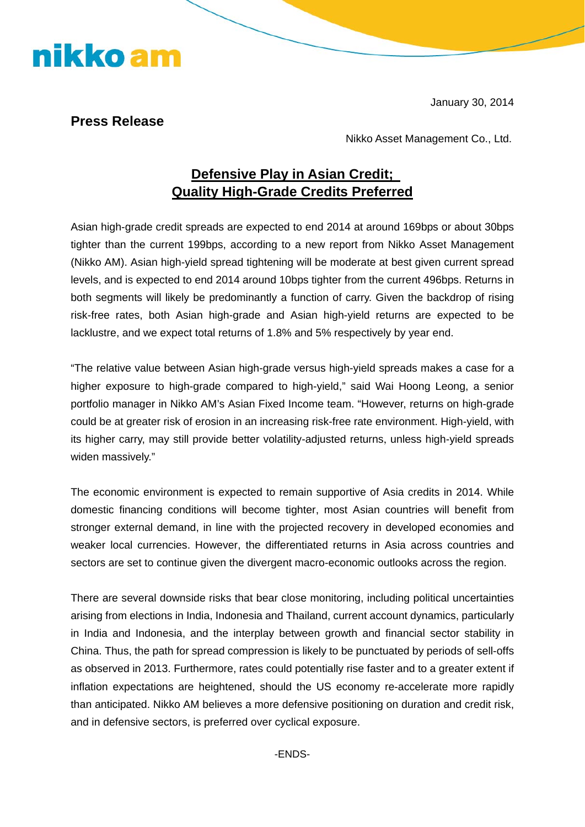January 30, 2014

## nikko am

## **Press Release**

Nikko Asset Management Co., Ltd.

## **Defensive Play in Asian Credit; Quality High-Grade Credits Preferred**

Asian high-grade credit spreads are expected to end 2014 at around 169bps or about 30bps tighter than the current 199bps, according to a new report from Nikko Asset Management (Nikko AM). Asian high-yield spread tightening will be moderate at best given current spread levels, and is expected to end 2014 around 10bps tighter from the current 496bps. Returns in both segments will likely be predominantly a function of carry. Given the backdrop of rising risk-free rates, both Asian high-grade and Asian high-yield returns are expected to be lacklustre, and we expect total returns of 1.8% and 5% respectively by year end.

"The relative value between Asian high-grade versus high-yield spreads makes a case for a higher exposure to high-grade compared to high-yield," said Wai Hoong Leong, a senior portfolio manager in Nikko AM's Asian Fixed Income team. "However, returns on high-grade could be at greater risk of erosion in an increasing risk-free rate environment. High-yield, with its higher carry, may still provide better volatility-adjusted returns, unless high-yield spreads widen massively."

The economic environment is expected to remain supportive of Asia credits in 2014. While domestic financing conditions will become tighter, most Asian countries will benefit from stronger external demand, in line with the projected recovery in developed economies and weaker local currencies. However, the differentiated returns in Asia across countries and sectors are set to continue given the divergent macro-economic outlooks across the region.

There are several downside risks that bear close monitoring, including political uncertainties arising from elections in India, Indonesia and Thailand, current account dynamics, particularly in India and Indonesia, and the interplay between growth and financial sector stability in China. Thus, the path for spread compression is likely to be punctuated by periods of sell-offs as observed in 2013. Furthermore, rates could potentially rise faster and to a greater extent if inflation expectations are heightened, should the US economy re-accelerate more rapidly than anticipated. Nikko AM believes a more defensive positioning on duration and credit risk, and in defensive sectors, is preferred over cyclical exposure.